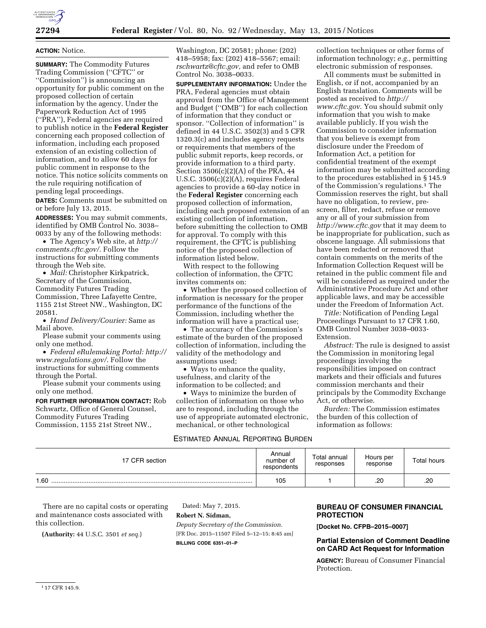

## **ACTION:** Notice.

**SUMMARY:** The Commodity Futures Trading Commission (''CFTC'' or ''Commission'') is announcing an opportunity for public comment on the proposed collection of certain information by the agency. Under the Paperwork Reduction Act of 1995 (''PRA''), Federal agencies are required to publish notice in the **Federal Register**  concerning each proposed collection of information, including each proposed extension of an existing collection of information, and to allow 60 days for public comment in response to the notice. This notice solicits comments on the rule requiring notification of pending legal proceedings.

**DATES:** Comments must be submitted on or before July 13, 2015.

**ADDRESSES:** You may submit comments, identified by OMB Control No. 3038– 0033 by any of the following methods:

• The Agency's Web site, at *[http://](http://comments.cftc.gov/) [comments.cftc.gov/](http://comments.cftc.gov/)*. Follow the instructions for submitting comments through the Web site.

• *Mail:* Christopher Kirkpatrick, Secretary of the Commission, Commodity Futures Trading Commission, Three Lafayette Centre, 1155 21st Street NW., Washington, DC 20581.

• *Hand Delivery/Courier:* Same as Mail above.

Please submit your comments using only one method.

• *Federal eRulemaking Portal: [http://](http://www.regulations.gov/)  [www.regulations.gov/](http://www.regulations.gov/)*. Follow the instructions for submitting comments through the Portal.

Please submit your comments using only one method.

**FOR FURTHER INFORMATION CONTACT:** Rob Schwartz, Office of General Counsel, Commodity Futures Trading Commission, 1155 21st Street NW.,

Washington, DC 20581; phone: (202) 418–5958; fax: (202) 418–5567; email: *[rschwartz@cftc.gov,](mailto:rschwartz@cftc.gov)* and refer to OMB Control No. 3038–0033.

**SUPPLEMENTARY INFORMATION:** Under the PRA, Federal agencies must obtain approval from the Office of Management and Budget (''OMB'') for each collection of information that they conduct or sponsor. "Collection of information" is defined in 44 U.S.C. 3502(3) and 5 CFR 1320.3(c) and includes agency requests or requirements that members of the public submit reports, keep records, or provide information to a third party. Section 3506(c)(2)(A) of the PRA, 44 U.S.C. 3506(c)(2)(A), requires Federal agencies to provide a 60-day notice in the **Federal Register** concerning each proposed collection of information, including each proposed extension of an existing collection of information, before submitting the collection to OMB for approval. To comply with this requirement, the CFTC is publishing notice of the proposed collection of information listed below.

With respect to the following collection of information, the CFTC invites comments on:

• Whether the proposed collection of information is necessary for the proper performance of the functions of the Commission, including whether the information will have a practical use;

• The accuracy of the Commission's estimate of the burden of the proposed collection of information, including the validity of the methodology and assumptions used;

• Ways to enhance the quality, usefulness, and clarity of the information to be collected; and

• Ways to minimize the burden of collection of information on those who are to respond, including through the use of appropriate automated electronic, mechanical, or other technological

### ESTIMATED ANNUAL REPORTING BURDEN

collection techniques or other forms of information technology; *e.g.,* permitting electronic submission of responses.

All comments must be submitted in English, or if not, accompanied by an English translation. Comments will be posted as received to *[http://](http://www.cftc.gov) [www.cftc.gov](http://www.cftc.gov)*. You should submit only information that you wish to make available publicly. If you wish the Commission to consider information that you believe is exempt from disclosure under the Freedom of Information Act, a petition for confidential treatment of the exempt information may be submitted according to the procedures established in § 145.9 of the Commission's regulations.1 The Commission reserves the right, but shall have no obligation, to review, prescreen, filter, redact, refuse or remove any or all of your submission from *<http://www.cftc.gov>* that it may deem to be inappropriate for publication, such as obscene language. All submissions that have been redacted or removed that contain comments on the merits of the Information Collection Request will be retained in the public comment file and will be considered as required under the Administrative Procedure Act and other applicable laws, and may be accessible under the Freedom of Information Act.

*Title:* Notification of Pending Legal Proceedings Pursuant to 17 CFR 1.60, OMB Control Number 3038–0033- Extension.

*Abstract:* The rule is designed to assist the Commission in monitoring legal proceedings involving the responsibilities imposed on contract markets and their officials and futures commission merchants and their principals by the Commodity Exchange Act, or otherwise.

*Burden:* The Commission estimates the burden of this collection of information as follows:

| 17 CFR section | Annual<br>number of<br>respondents | Total annual<br>responses | Hours per<br>response | Total hours |
|----------------|------------------------------------|---------------------------|-----------------------|-------------|
| 1.60           | 105                                |                           | .20                   | .20         |

There are no capital costs or operating and maintenance costs associated with this collection.

**(Authority:** 44 U.S.C. 3501 *et seq.*)

Dated: May 7, 2015. **Robert N. Sidman,**  *Deputy Secretary of the Commission.*  [FR Doc. 2015–11507 Filed 5–12–15; 8:45 am] **BILLING CODE 6351–01–P** 

# **BUREAU OF CONSUMER FINANCIAL PROTECTION**

**[Docket No. CFPB–2015–0007]** 

# **Partial Extension of Comment Deadline on CARD Act Request for Information**

**AGENCY:** Bureau of Consumer Financial Protection.